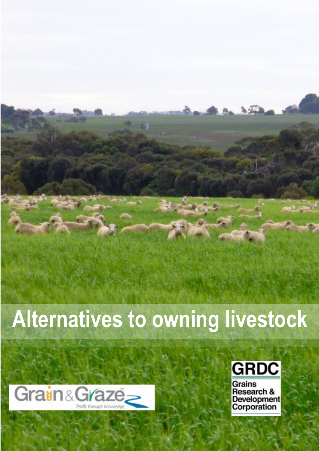# **Alternatives to owning livestock**





Grains **Research &** Development<br>Corporation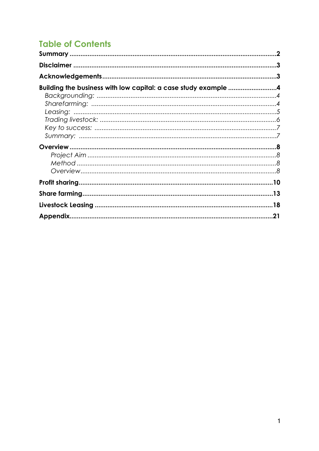# **Table of Contents**

| Building the business with low capital: a case study example 4 |  |
|----------------------------------------------------------------|--|
|                                                                |  |
|                                                                |  |
|                                                                |  |
|                                                                |  |
|                                                                |  |
|                                                                |  |
|                                                                |  |
|                                                                |  |
|                                                                |  |
|                                                                |  |
|                                                                |  |
|                                                                |  |
|                                                                |  |
|                                                                |  |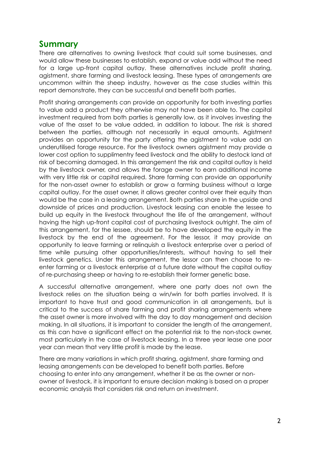# **Summary**

There are alternatives to owning livestock that could suit some businesses, and would allow these businesses to establish, expand or value add without the need for a large up-front capital outlay. These alternatives include profit sharing, agistment, share farming and livestock leasing. These types of arrangements are uncommon within the sheep industry, however as the case studies within this report demonstrate, they can be successful and benefit both parties.

Profit sharing arrangements can provide an opportunity for both investing parties to value add a product they otherwise may not have been able to. The capital investment required from both parties is generally low, as it involves investing the value of the asset to be value added, in addition to labour. The risk is shared between the parties, although not necessarily in equal amounts. Agistment provides an opportunity for the party offering the agistment to value add an underutilised forage resource. For the livestock owners agistment may provide a lower cost option to supplimentry feed livestock and the ability to destock land at risk of becoming damaged. In this arrangement the risk and capital outlay is held by the livestock owner, and allows the forage owner to earn additional income with very little risk or capital required. Share farming can provide an opportunity for the non-asset owner to establish or grow a farming business without a large capital outlay. For the asset owner, it allows greater control over their equity than would be the case in a leasing arrangement. Both parties share in the upside and downside of prices and production. Livestock leasing can enable the lessee to build up equity in the livestock throughout the life of the arrangement, without having the high up-front capital cost of purchasing livestock outright. The aim of this arrangement, for the lessee, should be to have developed the equity in the livestock by the end of the agreement. For the lessor, it may provide an opportunity to leave farming or relinquish a livestock enterprise over a period of time while pursuing other opportunities/interests, without having to sell their livestock genetics. Under this arrangement, the lessor can then choose to reenter farming or a livestock enterprise at a future date without the capital outlay of re-purchasing sheep or having to re-establish their former genetic base.

A successful alternative arrangement, where one party does not own the livestock relies on the situation being a win/win for both parties involved. It is important to have trust and good communication in all arrangements, but is critical to the success of share farming and profit sharing arrangements where the asset owner is more involved with the day to day management and decision making. In all situations, it is important to consider the length of the arrangement, as this can have a significant effect on the potential risk to the non-stock owner, most particularly in the case of livestock leasing. In a three year lease one poor year can mean that very little profit is made by the lease.

There are many variations in which profit sharing, agistment, share farming and leasing arrangements can be developed to benefit both parties. Before choosing to enter into any arrangement, whether it be as the owner or nonowner of livestock, it is important to ensure decision making is based on a proper economic analysis that considers risk and return on investment.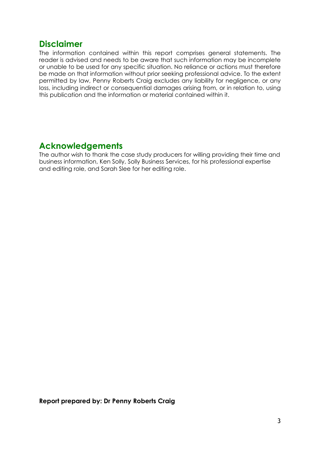# **Disclaimer**

The information contained within this report comprises general statements. The reader is advised and needs to be aware that such information may be incomplete or unable to be used for any specific situation. No reliance or actions must therefore be made on that information without prior seeking professional advice. To the extent permitted by law, Penny Roberts Craig excludes any liability for negligence, or any loss, including indirect or consequential damages arising from, or in relation to, using this publication and the information or material contained within it.

# **Acknowledgements**

The author wish to thank the case study producers for willing providing their time and business information, Ken Solly, Solly Business Services, for his professional expertise and editing role, and Sarah Slee for her editing role.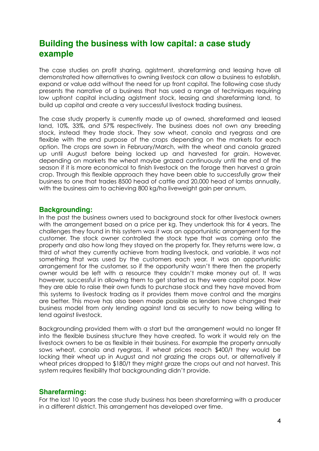# **Building the business with low capital: a case study example**

The case studies on profit sharing, agistment, sharefarming and leasing have all demonstrated how alternatives to owning livestock can allow a business to establish, expand or value add without the need for up front capital. The following case study presents the narrative of a business that has used a range of techniques requiring low upfront capital including agistment stock, leasing and sharefarming land, to build up capital and create a very successful livestock trading business.

The case study property is currently made up of owned, sharefarmed and leased land, 10%, 33%, and 57% respectively. The business does not own any breeding stock, instead they trade stock. They sow wheat, canola and ryegrass and are flexible with the end purpose of the crops depending on the markets for each option. The crops are sown in February/March, with the wheat and canola grazed up until August before being locked up and harvested for grain. However, depending on markets the wheat maybe grazed continuously until the end of the season if it is more economical to finish livestock on the forage then harvest a grain crop. Through this flexible approach they have been able to successfully grow their business to one that trades 8500 head of cattle and 20,000 head of lambs annually, with the business aim to achieving 800 kg/ha liveweight gain per annum.

#### **Backgrounding:**

In the past the business owners used to background stock for other livestock owners with the arrangement based on a price per kg. They undertook this for 4 years. The challenges they found in this system was it was an opportunistic arrangement for the customer. The stock owner controlled the stock type that was coming onto the property and also how long they stayed on the property for. They returns were low, a third of what they currently achieve from trading livestock, and variable, it was not something that was used by the customers each year. It was an opportunistic arrangement for the customer, so if the opportunity wasn't there then the property owner would be left with a resource they couldn't make money out of. It was however, successful in allowing them to get started as they were capital poor. Now they are able to raise their own funds to purchase stock and they have moved from this systems to livestock trading as it provides them move control and the margins are better. This move has also been made possible as lenders have changed their business model from only lending against land as security to now being willing to lend against livestock.

Backgrounding provided them with a start but the arrangement would no longer fit into the flexible business structure they have created. To work it would rely on the livestock owners to be as flexible in their business. For example the property annually sows wheat, canola and ryegrass, if wheat prices reach \$400/t they would be locking their wheat up in August and not grazing the crops out, or alternatively if wheat prices dropped to \$180/t they might graze the crops out and not harvest. This system requires flexibility that backgrounding didn't provide.

#### **Sharefarming:**

For the last 10 years the case study business has been sharefarming with a producer in a different district. This arrangement has developed over time.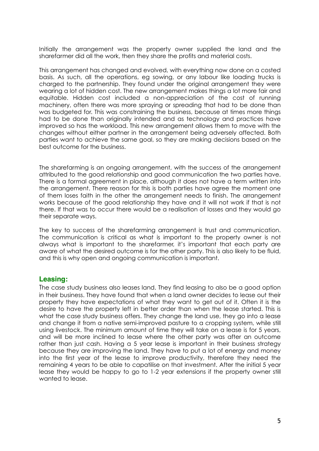Initially the arrangement was the property owner supplied the land and the sharefarmer did all the work, then they share the profits and material costs.

This arrangement has changed and evolved, with everything now done on a costed basis. As such, all the operations, eg sowing, or any labour like loading trucks is charged to the partnership. They found under the original arrangement they were wearing a lot of hidden cost. The new arrangement makes things a lot more fair and equitable. Hidden cost included a non-appreciation of the cost of running machinery, often there was more spraying or spreading that had to be done than was budgeted for. This was constraining the business, because at times more things had to be done than originally intended and as technology and practices have improved so has the workload. This new arrangement allows them to move with the changes without either partner in the arrangement being adversely affected. Both parties want to achieve the same goal, so they are making decisions based on the best outcome for the business.

The sharefarming is an ongoing arrangement, with the success of the arrangement attributed to the good relationship and good communication the two parties have. There is a formal agreement in place, although it does not have a term written into the arrangement. There reason for this is both parties have agree the moment one of them loses faith in the other the arrangement needs to finish. The arrangement works because of the good relationship they have and it will not work if that is not there. If that was to occur there would be a realisation of losses and they would go their separate ways.

The key to success of the sharefarming arrangement is trust and communication. The communication is critical as what is important to the property owner is not always what is important to the sharefarmer, it's important that each party are aware of what the desired outcome is for the other party. This is also likely to be fluid, and this is why open and ongoing communication is important.

# **Leasing:**

The case study business also leases land. They find leasing to also be a good option in their business. They have found that when a land owner decides to lease out their property they have expectations of what they want to get out of it. Often it is the desire to have the property left in better order than when the lease started. This is what the case study business offers. They change the land use, they go into a lease and change it from a native semi-improved pasture to a cropping system, while still using livestock. The minimum amount of time they will take on a lease is for 5 years, and will be more inclined to lease where the other party was after an outcome rather than just cash. Having a 5 year lease is important in their business strategy because they are improving the land. They have to put a lot of energy and money into the first year of the lease to improve productivity, therefore they need the remaining 4 years to be able to capatilise on that investment. After the initial 5 year lease they would be happy to go to 1-2 year extensions if the property owner still wanted to lease.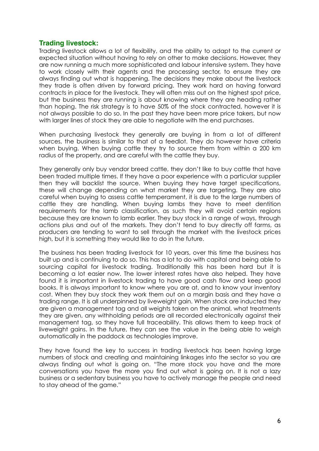### **Trading livestock:**

Trading livestock allows a lot of flexibility, and the ability to adapt to the current or expected situation without having to rely on other to make decisions. However, they are now running a much more sophisticated and labour intensive system. They have to work closely with their agents and the processing sector, to ensure they are always finding out what is happening. The decisions they make about the livestock they trade is often driven by forward pricing. They work hard on having forward contracts in place for the livestock. They will often miss out on the highest spot price, but the business they are running is about knowing where they are heading rather than hoping. The risk strategy is to have 50% of the stock contracted, however it is not always possible to do so. In the past they have been more price takers, but now with larger lines of stock they are able to negotiate with the end purchases.

When purchasing livestock they generally are buying in from a lot of different sources, the business is similar to that of a feedlot. They do however have criteria when buying. When buying cattle they try to source them from within a 200 km radius of the property, and are careful with the cattle they buy.

They generally only buy vendor breed cattle, they don't like to buy cattle that have been traded multiple times. If they have a poor experience with a particular supplier then they will backlist the source. When buying they have target specifications, these will change depending on what market they are targeting. They are also careful when buying to assess cattle temperament, it is due to the large numbers of cattle they are handling. When buying lambs they have to meet dentition requirements for the lamb classification, as such they will avoid certain regions because they are known to lamb earlier. They buy stock in a range of ways, through actions plus and out of the markets. They don't tend to buy directly off farms, as producers are tending to want to sell through the market with the livestock prices high, but it is something they would like to do in the future.

The business has been trading livestock for 10 years, over this time the business has built up and is continuing to do so. This has a lot to do with capital and being able to sourcing capital for livestock trading. Traditionally this has been hard but it is becoming a lot easier now. The lower interest rates have also helped. They have found it is important in livestock trading to have good cash flow and keep good books. It is always important to know where you are at, and to know your inventory cost. When they buy stock they work them out on a margin basis and they have a trading range. It is all underpinned by liveweight gain. When stock are inducted they are given a management tag and all weights taken on the animal, what treatments they are given, any withholding periods are all recorded electronically against their management tag, so they have full traceability. This allows them to keep track of liveweight gains. In the future, they can see the value in the being able to weigh automatically in the paddock as technologies improve.

They have found the key to success in trading livestock has been having large numbers of stock and creating and maintaining linkages into the sector so you are always finding out what is going on. "The more stock you have and the more conversations you have the more you find out what is going on. It is not a lazy business or a sedentary business you have to actively manage the people and need to stay ahead of the game."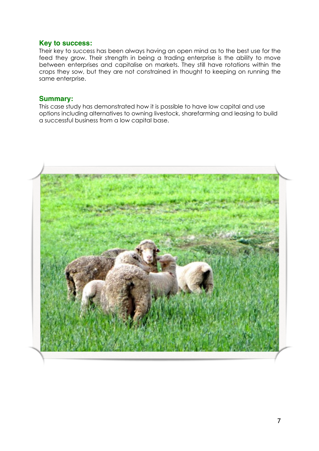## **Key to success:**

Their key to success has been always having an open mind as to the best use for the feed they grow. Their strength in being a trading enterprise is the ability to move between enterprises and capitalise on markets. They still have rotations within the crops they sow, but they are not constrained in thought to keeping on running the same enterprise.

## **Summary:**

This case study has demonstrated how it is possible to have low capital and use options including alternatives to owning livestock, sharefarming and leasing to build a successful business from a low capital base.

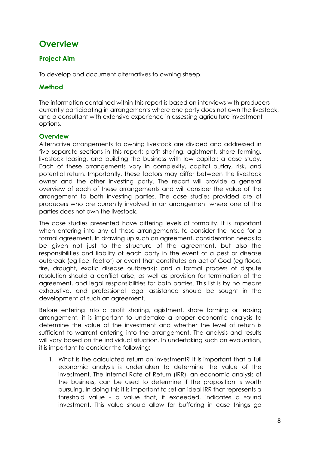# **Overview**

# **Project Aim**

To develop and document alternatives to owning sheep.

# **Method**

The information contained within this report is based on interviews with producers currently participating in arrangements where one party does not own the livestock, and a consultant with extensive experience in assessing agriculture investment options.

#### **Overview**

Alternative arrangements to owning livestock are divided and addressed in five separate sections in this report: profit sharing, agistment, share farming, livestock leasing, and building the business with low capital: a case study. Each of these arrangements vary in complexity, capital outlay, risk, and potential return. Importantly, these factors may differ between the livestock owner and the other investing party. The report will provide a general overview of each of these arrangements and will consider the value of the arrangement to both investing parties. The case studies provided are of producers who are currently involved in an arrangement where one of the parties does not own the livestock.

The case studies presented have differing levels of formality. It is important when entering into any of these arrangements, to consider the need for a formal agreement. In drawing up such an agreement, consideration needs to be given not just to the structure of the agreement, but also the responsibilities and liability of each party in the event of a pest or disease outbreak (eg lice, footrot) or event that constitutes an act of God (eg flood, fire, drought, exotic disease outbreak); and a formal process of dispute resolution should a conflict arise, as well as provision for termination of the agreement, and legal responsibilities for both parties. This list is by no means exhaustive, and professional legal assistance should be sought in the development of such an agreement.

Before entering into a profit sharing, agistment, share farming or leasing arrangement, it is important to undertake a proper economic analysis to determine the value of the investment and whether the level of return is sufficient to warrant entering into the arrangement. The analysis and results will vary based on the individual situation. In undertaking such an evaluation, it is important to consider the following:

1. What is the calculated return on investment? It is important that a full economic analysis is undertaken to determine the value of the investment. The Internal Rate of Return (IRR), an economic analysis of the business, can be used to determine if the proposition is worth pursuing. In doing this it is important to set an ideal IRR that represents a threshold value - a value that, if exceeded, indicates a sound investment. This value should allow for buffering in case things go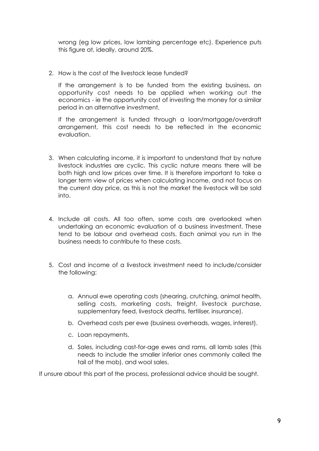wrong (eg low prices, low lambing percentage etc). Experience puts this figure at, ideally, around 20%.

2. How is the cost of the livestock lease funded?

If the arrangement is to be funded from the existing business, an opportunity cost needs to be applied when working out the economics - ie the opportunity cost of investing the money for a similar period in an alternative investment.

If the arrangement is funded through a loan/mortgage/overdraft arrangement, this cost needs to be reflected in the economic evaluation.

- 3. When calculating income, it is important to understand that by nature livestock industries are cyclic. This cyclic nature means there will be both high and low prices over time. It is therefore important to take a longer term view of prices when calculating income, and not focus on the current day price, as this is not the market the livestock will be sold into.
- 4. Include all costs. All too often, some costs are overlooked when undertaking an economic evaluation of a business investment. These tend to be labour and overhead costs. Each animal you run in the business needs to contribute to these costs.
- 5. Cost and income of a livestock investment need to include/consider the following:
	- a. Annual ewe operating costs (shearing, crutching, animal health, selling costs, marketing costs, freight, livestock purchase, supplementary feed, livestock deaths, fertiliser, insurance).
	- b. Overhead costs per ewe (business overheads, wages, interest).
	- c. Loan repayments.
	- d. Sales, including cast-for-age ewes and rams, all lamb sales (this needs to include the smaller inferior ones commonly called the tail of the mob), and wool sales.

If unsure about this part of the process, professional advice should be sought.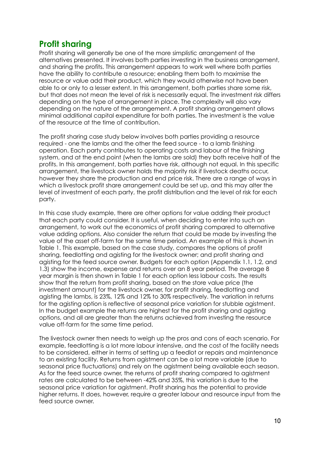# **Profit sharing**

Profit sharing will generally be one of the more simplistic arrangement of the alternatives presented. It involves both parties investing in the business arrangement, and sharing the profits. This arrangement appears to work well where both parties have the ability to contribute a resource; enabling them both to maximise the resource or value add their product, which they would otherwise not have been able to or only to a lesser extent. In this arrangement, both parties share some risk, but that does not mean the level of risk is necessarily equal. The investment risk differs depending on the type of arrangement in place. The complexity will also vary depending on the nature of the arrangement. A profit sharing arrangement allows minimal additional capital expenditure for both parties. The investment is the value of the resource at the time of contribution.

The profit sharing case study below involves both parties providing a resource required - one the lambs and the other the feed source - to a lamb finishing operation. Each party contributes to operating costs and labour of the finishing system, and at the end point (when the lambs are sold) they both receive half of the profits. In this arrangement, both parties have risk, although not equal. In this specific arrangement, the livestock owner holds the majority risk if livestock deaths occur, however they share the production and end price risk. There are a range of ways in which a livestock profit share arrangement could be set up, and this may alter the level of investment of each party, the profit distribution and the level of risk for each party.

In this case study example, there are other options for value adding their product that each party could consider. It is useful, when deciding to enter into such an arrangement, to work out the economics of profit sharing compared to alternative value adding options. Also consider the return that could be made by investing the value of the asset off-farm for the same time period. An example of this is shown in Table 1. This example, based on the case study, compares the options of profit sharing, feedlotting and agisting for the livestock owner; and profit sharing and agisting for the feed source owner. Budgets for each option (Appendix 1.1, 1.2, and 1.3) show the income, expense and returns over an 8 year period. The average 8 year margin is then shown in Table 1 for each option less labour costs. The results show that the return from profit sharing, based on the store value price (the investment amount) for the livestock owner, for profit sharing, feedlotting and agisting the lambs, is 23%, 12% and 12% to 30% respectively. The variation in returns for the agisting option is reflective of seasonal price variation for stubble agistment. In the budget example the returns are highest for the profit sharing and agisting options, and all are greater than the returns achieved from investing the resource value off-farm for the same time period.

The livestock owner then needs to weigh up the pros and cons of each scenario. For example, feedlotting is a lot more labour intensive, and the cost of the facility needs to be considered, either in terms of setting up a feedlot or repairs and maintenance to an existing facility. Returns from agistment can be a lot more variable (due to seasonal price fluctuations) and rely on the agistment being available each season. As for the feed source owner, the returns of profit sharing compared to agistment rates are calculated to be between -42% and 35%, this variation is due to the seasonal price variation for agistment. Profit sharing has the potential to provide higher returns. It does, however, require a greater labour and resource input from the feed source owner.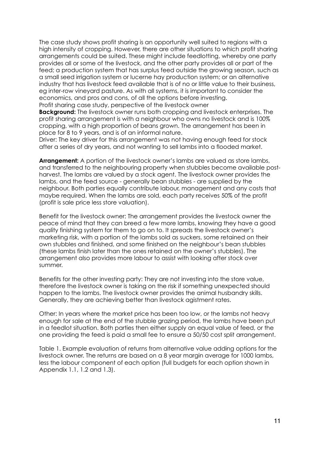The case study shows profit sharing is an opportunity well suited to regions with a high intensity of cropping. However, there are other situations to which profit sharing arrangements could be suited. These might include feedlotting, whereby one party provides all or some of the livestock, and the other party provides all or part of the feed; a production system that has surplus feed outside the growing season, such as a small seed irrigation system or lucerne hay production system; or an alternative industry that has livestock feed available that is of no or little value to their business, eg inter-row vineyard pasture. As with all systems, it is important to consider the economics, and pros and cons, of all the options before investing.

Profit sharing case study, perspective of the livestock owner

**Background:** The livestock owner runs both cropping and livestock enterprises. The profit sharing arrangement is with a neighbour who owns no livestock and is 100% cropping, with a high proportion of beans grown. The arrangement has been in place for 8 to 9 years, and is of an informal nature.

Driver: The key driver for this arrangement was not having enough feed for stock after a series of dry years, and not wanting to sell lambs into a flooded market.

**Arrangement:** A portion of the livestock owner's lambs are valued as store lambs, and transferred to the neighbouring property when stubbles become available postharvest. The lambs are valued by a stock agent. The livestock owner provides the lambs, and the feed source - generally bean stubbles - are supplied by the neighbour. Both parties equally contribute labour, management and any costs that maybe required. When the lambs are sold, each party receives 50% of the profit (profit is sale price less store valuation).

Benefit for the livestock owner: The arrangement provides the livestock owner the peace of mind that they can breed a few more lambs, knowing they have a good quality finishing system for them to go on to. It spreads the livestock owner's marketing risk, with a portion of the lambs sold as suckers, some retained on their own stubbles and finished, and some finished on the neighbour's bean stubbles (these lambs finish later than the ones retained on the owner's stubbles). The arrangement also provides more labour to assist with looking after stock over summer.

Benefits for the other investing party: They are not investing into the store value, therefore the livestock owner is taking on the risk if something unexpected should happen to the lambs. The livestock owner provides the animal husbandry skills. Generally, they are achieving better than livestock agistment rates.

Other: In years where the market price has been too low, or the lambs not heavy enough for sale at the end of the stubble grazing period, the lambs have been put in a feedlot situation. Both parties then either supply an equal value of feed, or the one providing the feed is paid a small fee to ensure a 50/50 cost split arrangement.

Table 1. Example evaluation of returns from alternative value adding options for the livestock owner. The returns are based on a 8 year margin average for 1000 lambs, less the labour component of each option (full budgets for each option shown in Appendix 1.1, 1.2 and 1.3).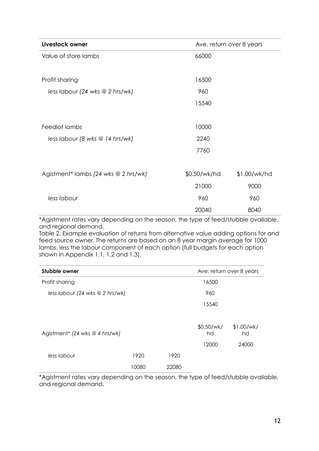| Livestock owner                      |              | Ave. return over 8 years |  |  |  |  |
|--------------------------------------|--------------|--------------------------|--|--|--|--|
| Value of store lambs                 | 66000        |                          |  |  |  |  |
|                                      |              |                          |  |  |  |  |
| Profit sharing                       | 16500        |                          |  |  |  |  |
| less labour (24 wks $@$ 2 hrs/wk)    | 960          |                          |  |  |  |  |
|                                      | 15540        |                          |  |  |  |  |
|                                      |              |                          |  |  |  |  |
| Feedlot lambs                        | 10000        |                          |  |  |  |  |
| less labour (8 wks @ 14 hrs/wk)      | 2240         |                          |  |  |  |  |
|                                      | 7760         |                          |  |  |  |  |
|                                      |              |                          |  |  |  |  |
| Agistment* lambs (24 wks @ 2 hrs/wk) | \$0.50/wk/hd | \$1.00/wk/hd             |  |  |  |  |
|                                      | 21000        | 9000                     |  |  |  |  |
| less labour                          | 960          | 960                      |  |  |  |  |
|                                      | 20040        | 8040                     |  |  |  |  |

\*Agistment rates vary depending on the season, the type of feed/stubble available, and regional demand.

Table 2. Example evaluation of returns from alternative value adding options for and feed source owner. The returns are based on an 8 year margin average for 1000 lambs, less the labour component of each option (full budgets for each option shown in Appendix 1.1, 1.2 and 1.3).

| Stubble owner                                |       | Ave. return over 8 years |       |                  |                  |
|----------------------------------------------|-------|--------------------------|-------|------------------|------------------|
| Profit sharing                               |       | 16500                    |       |                  |                  |
| less labour (24 wks $@$ 2 hrs/wk)            | 960   |                          |       |                  |                  |
|                                              |       |                          |       | 15540            |                  |
| Agistment <sup>*</sup> (24 wks $@$ 4 hrs/wk) |       |                          |       | \$0.50/wk/<br>hd | \$1.00/wk/<br>hd |
|                                              |       |                          |       | 12000            | 24000            |
| less labour                                  | 1920  |                          | 1920  |                  |                  |
|                                              | 10080 |                          | 22080 |                  |                  |

\*Agistment rates vary depending on the season, the type of feed/stubble available, and regional demand.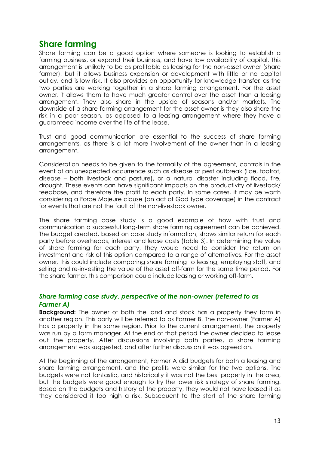# **Share farming**

Share farming can be a good option where someone is looking to establish a farming business, or expand their business, and have low availability of capital. This arrangement is unlikely to be as profitable as leasing for the non-asset owner (share farmer), but it allows business expansion or development with little or no capital outlay, and is low risk. It also provides an opportunity for knowledge transfer, as the two parties are working together in a share farming arrangement. For the asset owner, it allows them to have much greater control over the asset than a leasing arrangement. They also share in the upside of seasons and/or markets. The downside of a share farming arrangement for the asset owner is they also share the risk in a poor season, as opposed to a leasing arrangement where they have a guaranteed income over the life of the lease.

Trust and good communication are essential to the success of share farming arrangements, as there is a lot more involvement of the owner than in a leasing arrangement.

Consideration needs to be given to the formality of the agreement, controls in the event of an unexpected occurrence such as disease or pest outbreak (lice, footrot, disease – both livestock and pasture), or a natural disaster including flood, fire, drought. These events can have significant impacts on the productivity of livestock/ feedbase, and therefore the profit to each party. In some cases, it may be worth considering a Force Majeure clause (an act of God type coverage) in the contract for events that are not the fault of the non-livestock owner.

The share farming case study is a good example of how with trust and communication a successful long-term share farming agreement can be achieved. The budget created, based on case study information, shows similar return for each party before overheads, interest and lease costs (Table 3). In determining the value of share farming for each party, they would need to consider the return on investment and risk of this option compared to a range of alternatives. For the asset owner, this could include comparing share farming to leasing, employing staff, and selling and re-investing the value of the asset off-farm for the same time period. For the share farmer, this comparison could include leasing or working off-farm.

#### *Share farming case study, perspective of the non-owner (referred to as Farmer A)*

**Background:** The owner of both the land and stock has a property they farm in another region. This party will be referred to as Farmer B. The non-owner (Farmer A) has a property in the same region. Prior to the current arrangement, the property was run by a farm manager. At the end of that period the owner decided to lease out the property. After discussions involving both parties, a share farming arrangement was suggested, and after further discussion it was agreed on.

At the beginning of the arrangement, Farmer A did budgets for both a leasing and share farming arrangement, and the profits were similar for the two options. The budgets were not fantastic, and historically it was not the best property in the area, but the budgets were good enough to try the lower risk strategy of share farming. Based on the budgets and history of the property, they would not have leased it as they considered it too high a risk. Subsequent to the start of the share farming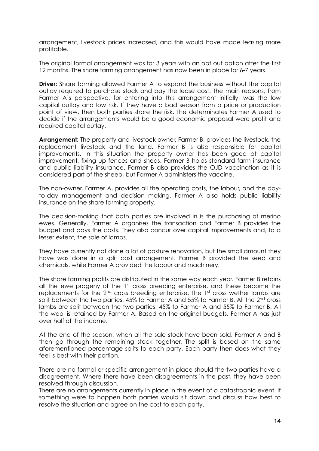arrangement, livestock prices increased, and this would have made leasing more profitable.

The original formal arrangement was for 3 years with an opt out option after the first 12 months. The share farming arrangement has now been in place for 6-7 years.

**Driver:** Share farming allowed Farmer A to expand the business without the capital outlay required to purchase stock and pay the lease cost. The main reasons, from Farmer A's perspective, for entering into this arrangement initially, was the low capital outlay and low risk. If they have a bad season from a price or production point of view, then both parties share the risk. The determinates Farmer A used to decide if the arrangements would be a good economic proposal were profit and required capital outlay.

**Arrangement:** The property and livestock owner, Farmer B, provides the livestock, the replacement livestock and the land. Farmer B is also responsible for capital improvements. In this situation the property owner has been good at capital improvement, fixing up fences and sheds. Farmer B holds standard farm insurance and public liability insurance. Farmer B also provides the OJD vaccination as it is considered part of the sheep, but Farmer A administers the vaccine.

The non-owner, Farmer A, provides all the operating costs, the labour, and the dayto-day management and decision making. Farmer A also holds public liability insurance on the share farming property.

The decision-making that both parties are involved in is the purchasing of merino ewes. Generally, Farmer A organises the transaction and Farmer B provides the budget and pays the costs. They also concur over capital improvements and, to a lesser extent, the sale of lambs.

They have currently not done a lot of pasture renovation, but the small amount they have was done in a split cost arrangement. Farmer B provided the seed and chemicals, while Farmer A provided the labour and machinery.

The share farming profits are distributed in the same way each year. Farmer B retains all the ewe progeny of the  $1<sup>st</sup>$  cross breeding enterprise, and these become the replacements for the 2<sup>nd</sup> cross breeding enterprise. The 1<sup>st</sup> cross wether lambs are split between the two parties,  $45\%$  to Farmer A and  $55\%$  to Farmer B. All the  $2<sup>nd</sup>$  cross lambs are split between the two parties, 45% to Farmer A and 55% to Farmer B. All the wool is retained by Farmer A. Based on the original budgets, Farmer A has just over half of the income.

At the end of the season, when all the sale stock have been sold, Farmer A and B then go through the remaining stock together. The split is based on the same aforementioned percentage splits to each party. Each party then does what they feel is best with their portion.

There are no formal or specific arrangement in place should the two parties have a disagreement. Where there have been disagreements in the past, they have been resolved through discussion.

There are no arrangements currently in place in the event of a catastrophic event. If something were to happen both parties would sit down and discuss how best to resolve the situation and agree on the cost to each party.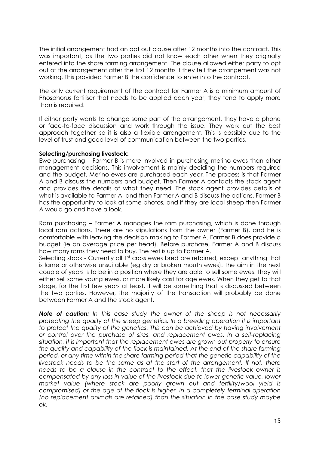The initial arrangement had an opt out clause after 12 months into the contract. This was important, as the two parties did not know each other when they originally entered into the share farming arrangement. The clause allowed either party to opt out of the arrangement after the first 12 months if they felt the arrangement was not working. This provided Farmer B the confidence to enter into the contract.

The only current requirement of the contract for Farmer A is a minimum amount of Phosphorus fertiliser that needs to be applied each year; they tend to apply more than is required.

If either party wants to change some part of the arrangement, they have a phone or face-to-face discussion and work through the issue. They work out the best approach together, so it is also a flexible arrangement. This is possible due to the level of trust and good level of communication between the two parties.

#### **Selecting/purchasing livestock:**

Ewe purchasing – Farmer B is more involved in purchasing merino ewes than other management decisions. This involvement is mainly deciding the numbers required and the budget. Merino ewes are purchased each year. The process is that Farmer A and B discuss the numbers and budget. Then Farmer A contacts the stock agent and provides the details of what they need. The stock agent provides details of what is available to Farmer A, and then Farmer A and B discuss the options. Farmer B has the opportunity to look at some photos, and if they are local sheep then Farmer A would go and have a look.

Ram purchasing – Farmer A manages the ram purchasing, which is done through local ram actions. There are no stipulations from the owner (Farmer B), and he is comfortable with leaving the decision making to Farmer A. Farmer B does provide a budget (ie an average price per head). Before purchase, Farmer A and B discuss how many rams they need to buy. The rest is up to Farmer A.

Selecting stock - Currently all 1<sup>st</sup> cross ewes bred are retained, except anything that is lame or otherwise unsuitable (eg dry or broken mouth ewes). The aim in the next couple of years is to be in a position where they are able to sell some ewes. They will either sell some young ewes, or more likely cast for age ewes. When they get to that stage, for the first few years at least, it will be something that is discussed between the two parties. However, the majority of the transaction will probably be done between Farmer A and the stock agent.

*Note of caution: In this case study the owner of the sheep is not necessarily protecting the quality of the sheep genetics. In a breeding operation it is important to protect the quality of the genetics. This can be achieved by having involvement or control over the purchase of sires, and replacement ewes. In a self-replacing situation, it is important that the replacement ewes are grown out properly to ensure the quality and capability of the flock is maintained. At the end of the share farming period, or any time within the share farming period that the genetic capability of the*  livestock needs to be the same as at the start of the arrangement. If not, there *needs to be a clause in the contract to the effect, that the livestock owner is compensated by any loss in value of the livestock due to lower genetic value, lower market value (where stock are poorly grown out and fertility/wool yield is compromised) or the age of the flock is higher. In a completely terminal operation (no replacement animals are retained) than the situation in the case study maybe ok.*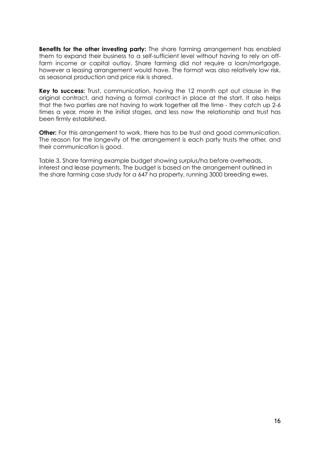**Benefits for the other investing party:** The share farming arrangement has enabled them to expand their business to a self-sufficient level without having to rely on offfarm income or capital outlay. Share farming did not require a loan/mortgage, however a leasing arrangement would have. The format was also relatively low risk, as seasonal production and price risk is shared.

**Key to success:** Trust, communication, having the 12 month opt out clause in the original contract, and having a formal contract in place at the start. It also helps that the two parties are not having to work together all the time - they catch up 2-6 times a year, more in the initial stages, and less now the relationship and trust has been firmly established.

**Other:** For this arrangement to work, there has to be trust and good communication. The reason for the longevity of the arrangement is each party trusts the other, and their communication is good.

Table 3. Share farming example budget showing surplus/ha before overheads, interest and lease payments. The budget is based on the arrangement outlined in the share farming case study for a 647 ha property, running 3000 breeding ewes.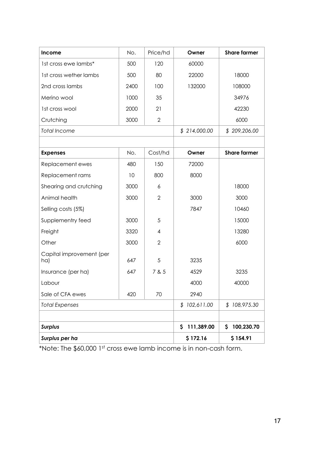| Income                          | No.      | Price/hd       | Owner        | <b>Share farmer</b> |
|---------------------------------|----------|----------------|--------------|---------------------|
| 1st cross ewe lambs*            | 500      | 120            | 60000        |                     |
| 1st cross wether lambs          | 500      | 80             | 22000        | 18000               |
| 2nd cross lambs                 | 2400     | 100            | 132000       | 108000              |
| Merino wool                     | 1000     | 35             |              | 34976               |
| 1st cross wool                  | 2000     | 21             |              | 42230               |
| Crutching                       | 3000     | $\overline{2}$ |              | 6000                |
| <b>Total Income</b>             |          |                | \$214,000.00 | \$209,206.00        |
|                                 |          |                |              |                     |
| <b>Expenses</b>                 | No.      | Cost/hd        | Owner        | <b>Share farmer</b> |
| Replacement ewes                | 480      | 150            | 72000        |                     |
| Replacement rams                | 10       | 800            | 8000         |                     |
| Shearing and crutching          | 3000     | 6              |              | 18000               |
| Animal health                   | 3000     | $\overline{2}$ | 3000         | 3000                |
| Selling costs (5%)              |          |                | 7847         | 10460               |
| Supplementry feed               | 3000     | 5              |              | 15000               |
| Freight                         | 3320     | 4              |              | 13280               |
| Other                           | 3000     | $\overline{2}$ |              | 6000                |
| Capital improvement (per<br>ha) | 647      | 5              | 3235         |                     |
| Insurance (per ha)              | 647      | 7 & 5          | 4529         | 3235                |
| Labour                          |          |                | 4000         | 40000               |
| Sale of CFA ewes                | 420      | 70             | 2940         |                     |
| <b>Total Expenses</b>           |          |                | \$102,611.00 | \$108,975.30        |
|                                 |          |                |              |                     |
| <b>Surplus</b>                  |          |                | \$111,389.00 | 100,230.70<br>S.    |
| Surplus per ha                  | \$172.16 | \$154.91       |              |                     |

\*Note: The \$60,000 1st cross ewe lamb income is in non-cash form.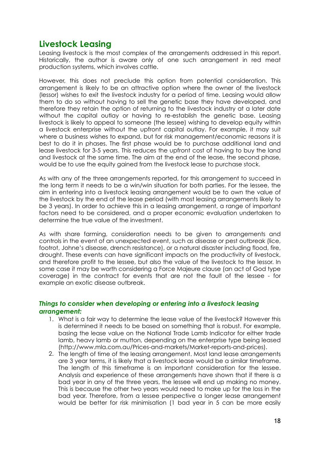# **Livestock Leasing**

Leasing livestock is the most complex of the arrangements addressed in this report. Historically, the author is aware only of one such arrangement in red meat production systems, which involves cattle.

However, this does not preclude this option from potential consideration. This arrangement is likely to be an attractive option where the owner of the livestock (lessor) wishes to exit the livestock industry for a period of time. Leasing would allow them to do so without having to sell the genetic base they have developed, and therefore they retain the option of returning to the livestock industry at a later date without the capital outlay or having to re-establish the genetic base. Leasing livestock is likely to appeal to someone (the lessee) wishing to develop equity within a livestock enterprise without the upfront capital outlay. For example, it may suit where a business wishes to expand, but for risk management/economic reasons it is best to do it in phases. The first phase would be to purchase additional land and lease livestock for 3-5 years. This reduces the upfront cost of having to buy the land and livestock at the same time. The aim at the end of the lease, the second phase, would be to use the equity gained from the livestock lease to purchase stock.

As with any of the three arrangements reported, for this arrangement to succeed in the long term it needs to be a win/win situation for both parties. For the lessee, the aim in entering into a livestock leasing arrangement would be to own the value of the livestock by the end of the lease period (with most leasing arrangements likely to be 3 years). In order to achieve this in a leasing arrangement, a range of important factors need to be considered, and a proper economic evaluation undertaken to determine the true value of the investment.

As with share farming, consideration needs to be given to arrangements and controls in the event of an unexpected event, such as disease or pest outbreak (lice, footrot, Johne's disease, drench resistance), or a natural disaster including flood, fire, drought. These events can have significant impacts on the productivity of livestock, and therefore profit to the lessee, but also the value of the livestock to the lessor. In some case it may be worth considering a Force Majeure clause (an act of God type coverage) in the contract for events that are not the fault of the lessee - for example an exotic disease outbreak.

## *Things to consider when developing or entering into a livestock leasing arrangement:*

- 1. What is a fair way to determine the lease value of the livestock? However this is determined it needs to be based on something that is robust. For example, basing the lease value on the National Trade Lamb Indicator for either trade lamb, heavy lamb or mutton, depending on the enterprise type being leased (http://www.mla.com.au/Prices-and-markets/Market-reports-and-prices).
- 2. The length of time of the leasing arrangement. Most land lease arrangements are 3 year terms, it is likely that a livestock lease would be a similar timeframe. The length of this timeframe is an important consideration for the lessee. Analysis and experience of these arrangements have shown that if there is a bad year in any of the three years, the lessee will end up making no money. This is because the other two years would need to make up for the loss in the bad year. Therefore, from a lessee perspective a longer lease arrangement would be better for risk minimisation (1 bad year in 5 can be more easily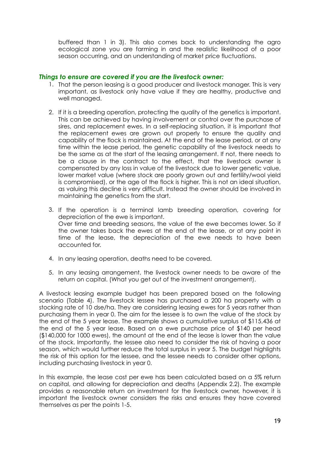buffered than 1 in 3). This also comes back to understanding the agro ecological zone you are farming in and the realistic likelihood of a poor season occurring, and an understanding of market price fluctuations.

#### *Things to ensure are covered if you are the livestock owner:*

- 1. That the person leasing is a good producer and livestock manager. This is very important, as livestock only have value if they are healthy, productive and well managed.
- 2. If it is a breeding operation, protecting the quality of the genetics is important. This can be achieved by having involvement or control over the purchase of sires, and replacement ewes. In a self-replacing situation, it is important that the replacement ewes are grown out properly to ensure the quality and capability of the flock is maintained. At the end of the lease period, or at any time within the lease period, the genetic capability of the livestock needs to be the same as at the start of the leasing arrangement. If not, there needs to be a clause in the contract to the effect, that the livestock owner is compensated by any loss in value of the livestock due to lower genetic value, lower market value (where stock are poorly grown out and fertility/wool yield is compromised), or the age of the flock is higher. This is not an ideal situation, as valuing this decline is very difficult. Instead the owner should be involved in maintaining the genetics from the start.
- 3. If the operation is a terminal lamb breeding operation, covering for depreciation of the ewe is important. Over time and breeding seasons, the value of the ewe becomes lower. So if the owner takes back the ewes at the end of the lease, or at any point in time of the lease, the depreciation of the ewe needs to have been accounted for.
- 4. In any leasing operation, deaths need to be covered.
- 5. In any leasing arrangement, the livestock owner needs to be aware of the return on capital. (What you get out of the investment arrangement).

A livestock leasing example budget has been prepared based on the following scenario (Table 4). The livestock lessee has purchased a 200 ha property with a stocking rate of 10 dse/ha. They are considering leasing ewes for 5 years rather than purchasing them in year 0. The aim for the lessee is to own the value of the stock by the end of the 5 year lease. The example shows a cumulative surplus of \$115,436 at the end of the 5 year lease. Based on a ewe purchase price of \$140 per head (\$140,000 for 1000 ewes), the amount at the end of the lease is lower than the value of the stock. Importantly, the lessee also need to consider the risk of having a poor season, which would further reduce the total surplus in year 5. The budget highlights the risk of this option for the lessee, and the lessee needs to consider other options, including purchasing livestock in year 0.

In this example, the lease cost per ewe has been calculated based on a 5% return on capital, and allowing for depreciation and deaths (Appendix 2.2). The example provides a reasonable return on investment for the livestock owner, however, it is important the livestock owner considers the risks and ensures they have covered themselves as per the points 1-5.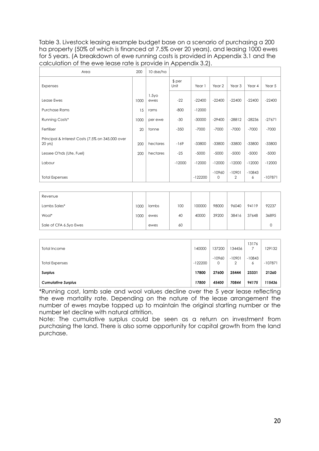Table 3. Livestock leasing example budget base on a scenario of purchasing a 200 ha property (50% of which is financed at 7.5% over 20 years), and leasing 1000 ewes for 5 years. (A breakdown of ewe running costs is provided in Appendix 3.1 and the calculation of the ewe lease rate is provide in Appendix 3.2).

| Area                                                        | 200  | 10 dse/ha                 |                 |           |                   |                   |               |           |
|-------------------------------------------------------------|------|---------------------------|-----------------|-----------|-------------------|-------------------|---------------|-----------|
| <b>Expenses</b>                                             |      |                           | $$$ per<br>Unit | Year 1    | Year <sub>2</sub> | Year <sub>3</sub> | Year 4        | Year 5    |
| Lease Ewes                                                  | 1000 | 1.5y <sub>O</sub><br>ewes | $-22$           | $-22400$  | $-22400$          | $-22400$          | $-22400$      | $-22400$  |
| <b>Purchase Rams</b>                                        | 15   | rams                      | $-800$          | $-12000$  |                   |                   |               |           |
| Running Costs*                                              | 1000 | per ewe                   | $-30$           | $-30000$  | $-29400$          | $-28812$          | $-28236$      | $-27671$  |
| Fertiliser                                                  | 20   | tonne                     | $-350$          | $-7000$   | $-7000$           | $-7000$           | $-7000$       | $-7000$   |
| Principal & Interest Costs (7.5% on 345,000 over<br>20 yrs) | 200  | hectares                  | $-169$          | $-33800$  | $-33800$          | $-33800$          | $-33800$      | $-33800$  |
| Lessee O'hds (Ute, Fuel)                                    | 200  | hectares                  | $-25$           | $-5000$   | $-5000$           | $-5000$           | $-5000$       | $-5000$   |
| Labour                                                      |      |                           | $-12000$        | $-12000$  | $-12000$          | $-12000$          | $-12000$      | $-12000$  |
| <b>Total Expenses</b>                                       |      |                           |                 | $-122200$ | $-10960$<br>0     | $-10901$<br>2     | $-10843$<br>6 | $-107871$ |

| Revenue                |      |       |     |        |       |       |       |       |
|------------------------|------|-------|-----|--------|-------|-------|-------|-------|
| Lambs Sales*           | 1000 | lambs | 100 | 100000 | 98000 | 96040 | 94119 | 92237 |
| Wool*                  | 1000 | ewes  | 40  | 40000  | 39200 | 38416 | 37648 | 36895 |
| Sale of CFA 6.5yo Ewes |      | ewes  | 60  |        |       |       |       |       |

| Total Income              | 140000    | 137200        | 134456   | 13176         | 129132    |
|---------------------------|-----------|---------------|----------|---------------|-----------|
| <b>Total Expenses</b>     | $-122200$ | $-10960$<br>0 | $-10901$ | $-10843$<br>6 | $-107871$ |
| <b>Surplus</b>            | 17800     | 27600         | 25444    | 23331         | 21260     |
| <b>Cumulative Surplus</b> | 17800     | 45400         | 70844    | 94175         | 115436    |

\*Running cost, lamb sale and wool values decline over the 5 year lease reflecting the ewe mortality rate. Depending on the nature of the lease arrangement the number of ewes maybe topped up to maintain the original starting number or the number let decline with natural attrition.

Note: The cumulative surplus could be seen as a return on investment from purchasing the land. There is also some opportunity for capital growth from the land purchase.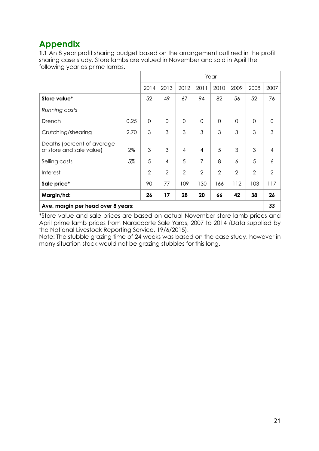# **Appendix**

**1.1** An 8 year profit sharing budget based on the arrangement outlined in the profit sharing case study. Store lambs are valued in November and sold in April the following year as prime lambs.

|                                                         |      |                |                |                |                | Year           |                |                |                |
|---------------------------------------------------------|------|----------------|----------------|----------------|----------------|----------------|----------------|----------------|----------------|
|                                                         |      | 2014           | 2013           | 2012           | 2011           | 2010           | 2009           | 2008           | 2007           |
| Store value*                                            |      | 52             | 49             | 67             | 94             | 82             | 56             | 52             | 76             |
| Running costs                                           |      |                |                |                |                |                |                |                |                |
| Drench                                                  | 0.25 | $\overline{0}$ | $\overline{0}$ | $\mathbf 0$    | 0              | $\mathbf 0$    | $\mathbf 0$    | $\mathbf 0$    | $\overline{0}$ |
| Crutching/shearing                                      | 2.70 | 3              | 3              | 3              | 3              | 3              | 3              | 3              | 3              |
| Deaths (percent of average)<br>of store and sale value) | 2%   | 3              | 3              | 4              | 4              | 5              | 3              | 3              | 4              |
| Selling costs                                           | 5%   | 5              | $\overline{4}$ | 5              | 7              | 8              | 6              | 5              | 6              |
| <b>Interest</b>                                         |      | $\overline{2}$ | $\overline{2}$ | $\overline{2}$ | $\overline{2}$ | $\overline{2}$ | $\overline{2}$ | $\overline{2}$ | $\overline{2}$ |
| Sale price*                                             |      | 90             | 77             | 109            | 130            | 166            | 112            | 103            | 117            |
| Margin/hd:                                              | 26   | 17             | 28             | 20             | 66             | 42             | 38             | 26             |                |
| Ave. margin per head over 8 years:                      |      |                |                |                |                |                |                |                | 33             |

\*Store value and sale prices are based on actual November store lamb prices and April prime lamb prices from Naracoorte Sale Yards, 2007 to 2014 (Data supplied by the National Livestock Reporting Service, 19/6/2015).

Note: The stubble grazing time of 24 weeks was based on the case study, however in many situation stock would not be grazing stubbles for this long.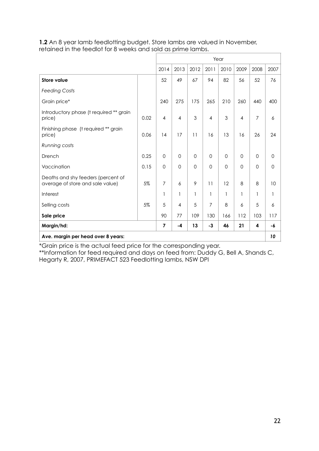| <b>1.2</b> An 8 year lamb feedlotting budget. Store lambs are valued in November, |
|-----------------------------------------------------------------------------------|
| retained in the feedlot for 8 weeks and sold as prime lambs.                      |

|                                                                        |      |                | Year           |                |                |          |                |                |          |
|------------------------------------------------------------------------|------|----------------|----------------|----------------|----------------|----------|----------------|----------------|----------|
|                                                                        |      | 2014           | 2013           | 2012           | 2011           | 2010     | 2009           | 2008           | 2007     |
| <b>Store value</b>                                                     |      | 52             | 49             | 67             | 94             | 82       | 56             | 52             | 76       |
| <b>Feeding Costs</b>                                                   |      |                |                |                |                |          |                |                |          |
| Grain price*                                                           |      | 240            | 275            | 175            | 265            | 210      | 260            | 440            | 400      |
| Introductory phase (t required ** grain<br>0.02<br>price)              |      | $\overline{4}$ | $\overline{4}$ | $\mathfrak{S}$ | $\overline{4}$ | 3        | $\overline{4}$ | $\overline{7}$ | 6        |
| Finishing phase (t required ** grain<br>0.06<br>price)                 |      | 14             | 17             | 11             | 16             | 13       | 16             | 26             | 24       |
| Running costs                                                          |      |                |                |                |                |          |                |                |          |
| Drench                                                                 | 0.25 | $\mathbf{O}$   | $\Omega$       | $\mathbf 0$    | $\Omega$       | $\Omega$ | $\Omega$       | $\Omega$       | $\Omega$ |
| Vaccination                                                            | 0.15 | $\mathbf 0$    | $\Omega$       | $\Omega$       | $\Omega$       | $\Omega$ | $\Omega$       | $\Omega$       | $\Omega$ |
| Deaths and shy feeders (percent of<br>average of store and sale value) | 5%   | $\overline{7}$ | 6              | 9              | 11             | 12       | 8              | 8              | 10       |
| Interest                                                               |      | 1              | 1              | 1              | 1              | 1        | 1              | 1              | 1        |
| Selling costs                                                          | 5%   | 5              | $\overline{4}$ | 5              | $\overline{7}$ | 8        | 6              | 5              | 6        |
| Sale price                                                             |      | 90             | 77             | 109            | 130            | 166      | 112            | 103            | 117      |
| Margin/hd:                                                             |      | $\overline{7}$ | $-4$           | 13             | $-3$           | 46       | 21             | 4              | -6       |
| Ave. margin per head over 8 years:                                     |      |                |                |                |                |          |                |                | 10       |

\*Grain price is the actual feed price for the corresponding year.

\*\*Information for feed required and days on feed from: Duddy G, Bell A, Shands C, Hegarty R, 2007, PRIMEFACT 523 Feedlotting lambs, NSW DPI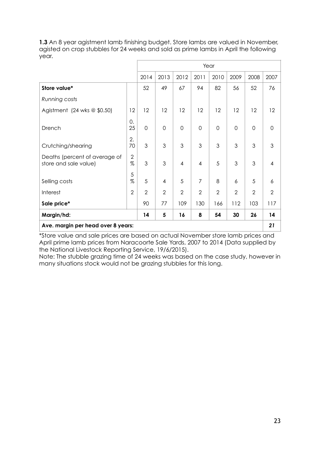**1.3** An 8 year agistment lamb finishing budget. Store lambs are valued in November, agisted on crop stubbles for 24 weeks and sold as prime lambs in April the following year.

|                                                        |                |                | Year           |                |                |                |                |                |                |  |
|--------------------------------------------------------|----------------|----------------|----------------|----------------|----------------|----------------|----------------|----------------|----------------|--|
|                                                        |                | 2014           | 2013           | 2012           | 2011           | 2010           | 2009           | 2008           | 2007           |  |
| Store value*                                           |                | 52             | 49             | 67             | 94             | 82             | 56             | 52             | 76             |  |
| Running costs                                          |                |                |                |                |                |                |                |                |                |  |
| Agistment (24 wks $@$ \$0.50)                          | 12             | 12             | 12             | 12             | 12             | 12             | 12             | 12             | 12             |  |
| Drench                                                 |                | 0              | $\overline{0}$ | $\mathbf 0$    | $\mathbf 0$    | $\overline{0}$ | $\Omega$       | $\mathbf 0$    | $\Omega$       |  |
| 70<br>Crutching/shearing                               |                | 3              | 3              | 3              | 3              | 3              | 3              | 3              | 3              |  |
| Deaths (percent of average of<br>store and sale value) |                | 3              | 3              | $\overline{4}$ | $\overline{4}$ | 5              | 3              | 3              | 4              |  |
| Selling costs                                          |                | 5              | $\overline{4}$ | 5              | $\overline{7}$ | 8              | 6              | 5              | 6              |  |
| Interest                                               | $\overline{2}$ | $\overline{2}$ | $\overline{2}$ | $\overline{2}$ | $\overline{2}$ | $\overline{2}$ | $\overline{2}$ | $\overline{2}$ | $\overline{2}$ |  |
| Sale price*                                            |                | 90             | 77             | 109            | 130            | 166            | 112            | 103            | 117            |  |
| Margin/hd:                                             |                | 14             | 5              | 16             | 8              | 54             | 30             | 26             | 14             |  |
| Ave. margin per head over 8 years:                     |                |                |                |                |                |                |                |                | 21             |  |

\*Store value and sale prices are based on actual November store lamb prices and April prime lamb prices from Naracoorte Sale Yards, 2007 to 2014 (Data supplied by the National Livestock Reporting Service, 19/6/2015).

Note: The stubble grazing time of 24 weeks was based on the case study, however in many situations stock would not be grazing stubbles for this long.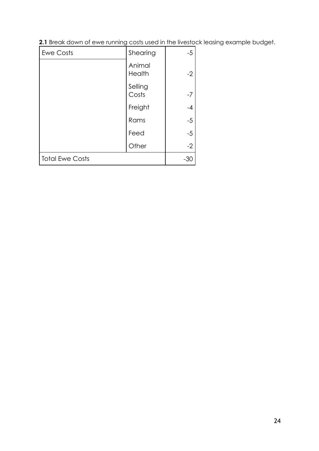| 2.1 Break down of ewe running costs used in the livestock leasing example budget. |  |  |  |  |
|-----------------------------------------------------------------------------------|--|--|--|--|
|                                                                                   |  |  |  |  |

| <b>Ewe Costs</b>       | Shearing         | $-5$ |
|------------------------|------------------|------|
|                        | Animal<br>Health | $-2$ |
|                        | Selling<br>Costs | $-7$ |
|                        | Freight          | $-4$ |
|                        | Rams             | $-5$ |
|                        | Feed             | $-5$ |
|                        | Other            | $-2$ |
| <b>Total Ewe Costs</b> | $-30$            |      |